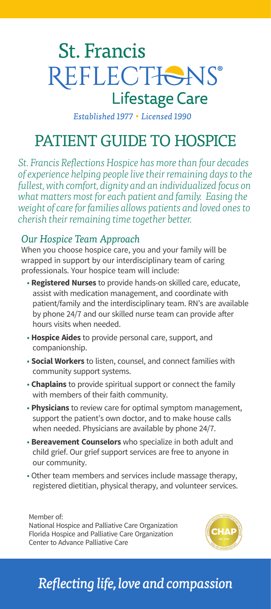# **St. Francis** REFLECTIONS® **Lifestage Care**

Established 1977 . Licensed 1990

# PATIENT GUIDE TO HOSPICE

*St. Francis Reflections Hospice has more than four decades of experience helping people live their remaining days to the fullest, with comfort, dignity and an individualized focus on what matters most for each patient and family. Easing the weight of care for families allows patients and loved ones to cherish their remaining time together better.*

### *Our Hospice Team Approach*

When you choose hospice care, you and your family will be wrapped in support by our interdisciplinary team of caring professionals. Your hospice team will include:

- **Registered Nurses** to provide hands-on skilled care, educate, assist with medication management, and coordinate with patient/family and the interdisciplinary team. RN's are available by phone 24/7 and our skilled nurse team can provide after hours visits when needed.
- **Hospice Aides** to provide personal care, support, and companionship.
- **Social Workers** to listen, counsel, and connect families with community support systems.
- **Chaplains** to provide spiritual support or connect the family with members of their faith community.
- **Physicians** to review care for optimal symptom management, support the patient's own doctor, and to make house calls when needed. Physicians are available by phone 24/7.
- **Bereavement Counselors** who specialize in both adult and child grief. Our grief support services are free to anyone in our community.
- Other team members and services include massage therapy, registered dietitian, physical therapy, and volunteer services.

Member of: National Hospice and Palliative Care Organization Florida Hospice and Palliative Care Organization Center to Advance Palliative Care



# *Reflecting life, love and compassion*